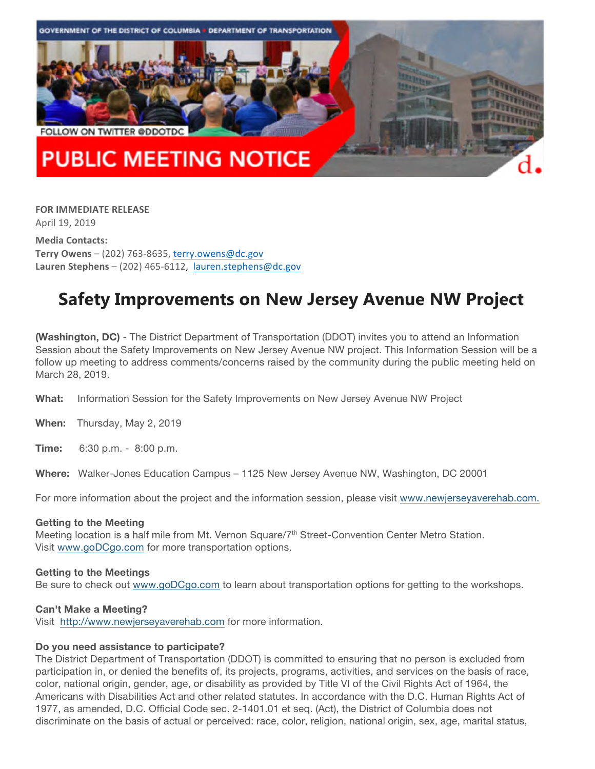

**FOR IMMEDIATE RELEASE** April 19, 2019

**Media Contacts: Terry Owens** – (202) 763-8635, terry.owens@dc.gov Lauren Stephens - (202) 465-6112, lauren.stephens@dc.gov

# **Safety Improvements on New Jersey Avenue NW Project**

**(Washington, DC)** - The District Department of Transportation (DDOT) invites you to attend an Information Session about the Safety Improvements on New Jersey Avenue NW project. This Information Session will be a follow up meeting to address comments/concerns raised by the community during the public meeting held on March 28, 2019.

**What:** Information Session for the Safety Improvements on New Jersey Avenue NW Project

**When:** Thursday, May 2, 2019

**Time:** 6:30 p.m. - 8:00 p.m.

**Where:** Walker-Jones Education Campus – 1125 New Jersey Avenue NW, Washington, DC 20001

For more information about the project and the information session, please visit www.newjerseyaverehab.com.

#### **Getting to the Meeting**

Meeting location is a half mile from Mt. Vernon Square/ $7<sup>th</sup>$  Street-Convention Center Metro Station. Visit www.goDCgo.com for more transportation options.

#### **Getting to the Meetings**

Be sure to check out www.goDCgo.com to learn about transportation options for getting to the workshops.

#### **Can't Make a Meeting?**

Visit http://www.newjerseyaverehab.com for more information.

#### **Do you need assistance to participate?**

The District Department of Transportation (DDOT) is committed to ensuring that no person is excluded from participation in, or denied the benefits of, its projects, programs, activities, and services on the basis of race, color, national origin, gender, age, or disability as provided by Title VI of the Civil Rights Act of 1964, the Americans with Disabilities Act and other related statutes. In accordance with the D.C. Human Rights Act of 1977, as amended, D.C. Official Code sec. 2-1401.01 et seq. (Act), the District of Columbia does not discriminate on the basis of actual or perceived: race, color, religion, national origin, sex, age, marital status,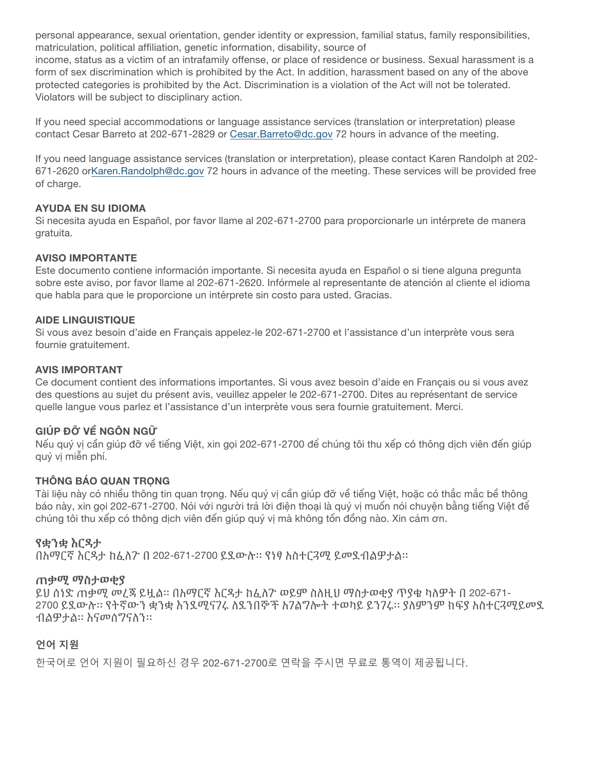personal appearance, sexual orientation, gender identity or expression, familial status, family responsibilities, matriculation, political affiliation, genetic information, disability, source of

income, status as a victim of an intrafamily offense, or place of residence or business. Sexual harassment is a form of sex discrimination which is prohibited by the Act. In addition, harassment based on any of the above protected categories is prohibited by the Act. Discrimination is a violation of the Act will not be tolerated. Violators will be subject to disciplinary action.

If you need special accommodations or language assistance services (translation or interpretation) please contact Cesar Barreto at 202-671-2829 or Cesar.Barreto@dc.gov 72 hours in advance of the meeting.

If you need language assistance services (translation or interpretation), please contact Karen Randolph at 202- 671-2620 or Karen. Randolph@dc.gov 72 hours in advance of the meeting. These services will be provided free of charge.

## **AYUDA EN SU IDIOMA**

Si necesita ayuda en Español, por favor llame al 202-671-2700 para proporcionarle un intérprete de manera gratuita.

#### **AVISO IMPORTANTE**

Este documento contiene información importante. Si necesita ayuda en Español o si tiene alguna pregunta sobre este aviso, por favor llame al 202-671-2620. Infórmele al representante de atención al cliente el idioma que habla para que le proporcione un intérprete sin costo para usted. Gracias.

#### **AIDE LINGUISTIQUE**

Si vous avez besoin d'aide en Français appelez-le 202-671-2700 et l'assistance d'un interprète vous sera fournie gratuitement.

#### **AVIS IMPORTANT**

Ce document contient des informations importantes. Si vous avez besoin d'aide en Français ou si vous avez des questions au sujet du présent avis, veuillez appeler le 202-671-2700. Dites au représentant de service quelle langue vous parlez et l'assistance d'un interprète vous sera fournie gratuitement. Merci.

## **GIÚP ĐỠ VỀ NGÔN NGỮ**

Nếu quý vị cần giúp đỡ về tiếng Việt, xin gọi 202-671-2700 để chúng tôi thu xếp có thông dịch viên đến giúp quý vị miễn phí.

## **THÔNG BÁO QUAN TRỌNG**

Tài liệu này có nhiều thông tin quan trong. Nếu quý vị cần giúp đỡ về tiếng Việt, hoặc có thắc mắc bề thông báo này, xin gọi 202-671-2700. Nói với người trả lời điện thoại là quý vị muốn nói chuyện bằng tiếng Việt để chúng tôi thu xếp có thông dịch viên đến giúp quý vị mà không tốn đồng nào. Xin cảm ơn.

## **የቋንቋ እርዳታ**

በአማርኛ እርዳታ ከፈለጉ በ 202-671-2700 ይደውሉ። የነፃ አስተርጓሚ ይመደብልዎታል።

## **ጠቃሚ ማስታወቂያ**

ይህ ሰነድ ጠቃሚ መረጃ ይዟል። በአማርኛ እርዳታ ከፈለጉ ወይም ስለዚህ ማስታወቂያ ጥያቄ ካለዎት በ 202-671- 2700 ይደውሉ። የትኛውን ቋንቋ እንደሚናገሩ ለደንበኞች አገልግሎት ተወካይ ይንገሩ። ያለምንም ክፍያ አስተርጓሚይመደ ብልዎታል። እናመሰግናለን።

## **언어 지원**

한국어로 언어 지원이 필요하신 경우 202-671-2700로 연락을 주시면 무료로 통역이 제공됩니다.